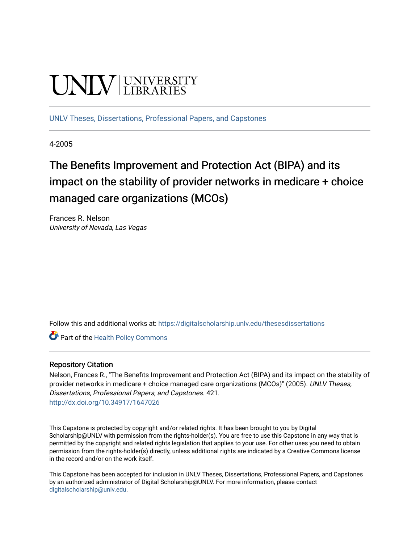# **UNIVERSITY**

[UNLV Theses, Dissertations, Professional Papers, and Capstones](https://digitalscholarship.unlv.edu/thesesdissertations)

4-2005

# The Benefits Improvement and Protection Act (BIPA) and its impact on the stability of provider networks in medicare + choice managed care organizations (MCOs)

Frances R. Nelson University of Nevada, Las Vegas

Follow this and additional works at: [https://digitalscholarship.unlv.edu/thesesdissertations](https://digitalscholarship.unlv.edu/thesesdissertations?utm_source=digitalscholarship.unlv.edu%2Fthesesdissertations%2F421&utm_medium=PDF&utm_campaign=PDFCoverPages)

Part of the [Health Policy Commons](http://network.bepress.com/hgg/discipline/395?utm_source=digitalscholarship.unlv.edu%2Fthesesdissertations%2F421&utm_medium=PDF&utm_campaign=PDFCoverPages)

#### Repository Citation

Nelson, Frances R., "The Benefits Improvement and Protection Act (BIPA) and its impact on the stability of provider networks in medicare + choice managed care organizations (MCOs)" (2005). UNLV Theses, Dissertations, Professional Papers, and Capstones. 421. <http://dx.doi.org/10.34917/1647026>

This Capstone is protected by copyright and/or related rights. It has been brought to you by Digital Scholarship@UNLV with permission from the rights-holder(s). You are free to use this Capstone in any way that is permitted by the copyright and related rights legislation that applies to your use. For other uses you need to obtain permission from the rights-holder(s) directly, unless additional rights are indicated by a Creative Commons license in the record and/or on the work itself.

This Capstone has been accepted for inclusion in UNLV Theses, Dissertations, Professional Papers, and Capstones by an authorized administrator of Digital Scholarship@UNLV. For more information, please contact [digitalscholarship@unlv.edu](mailto:digitalscholarship@unlv.edu).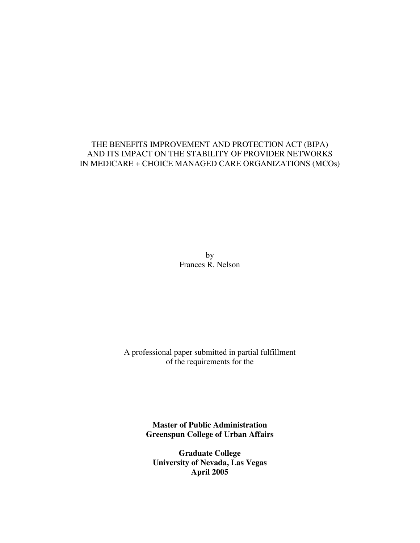### THE BENEFITS IMPROVEMENT AND PROTECTION ACT (BIPA) AND ITS IMPACT ON THE STABILITY OF PROVIDER NETWORKS IN MEDICARE + CHOICE MANAGED CARE ORGANIZATIONS (MCOs)

by Frances R. Nelson

A professional paper submitted in partial fulfillment of the requirements for the

> **Master of Public Administration Greenspun College of Urban Affairs**

**Graduate College University of Nevada, Las Vegas April 2005**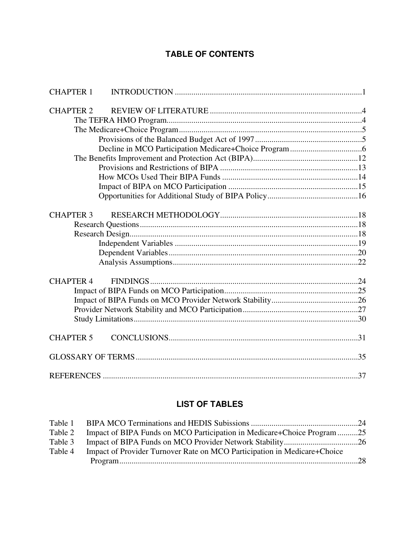# **TABLE OF CONTENTS**

| <b>CHAPTER 1</b> |  |
|------------------|--|
| <b>CHAPTER 2</b> |  |
|                  |  |
|                  |  |
|                  |  |
|                  |  |
|                  |  |
|                  |  |
|                  |  |
|                  |  |
|                  |  |
|                  |  |
|                  |  |
| <b>CHAPTER 3</b> |  |
|                  |  |
|                  |  |
|                  |  |
|                  |  |
|                  |  |
|                  |  |
| <b>CHAPTER 4</b> |  |
|                  |  |
|                  |  |
|                  |  |
|                  |  |
|                  |  |
| <b>CHAPTER 5</b> |  |
|                  |  |
|                  |  |
|                  |  |

# **LIST OF TABLES**

| Table 2 | Impact of BIPA Funds on MCO Participation in Medicare+Choice Program25   |  |
|---------|--------------------------------------------------------------------------|--|
| Table 3 |                                                                          |  |
| Table 4 | Impact of Provider Turnover Rate on MCO Participation in Medicare+Choice |  |
|         |                                                                          |  |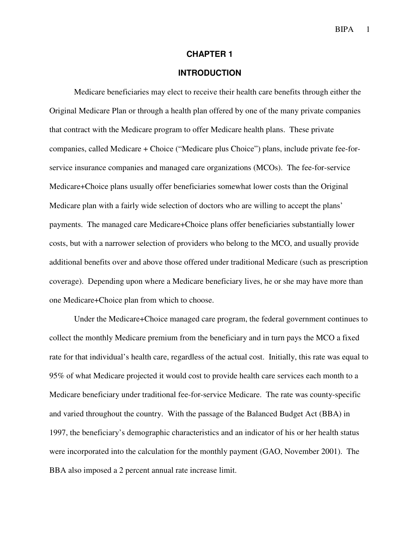#### **CHAPTER 1**

#### **INTRODUCTION**

Medicare beneficiaries may elect to receive their health care benefits through either the Original Medicare Plan or through a health plan offered by one of the many private companies that contract with the Medicare program to offer Medicare health plans. These private companies, called Medicare + Choice ("Medicare plus Choice") plans, include private fee-forservice insurance companies and managed care organizations (MCOs). The fee-for-service Medicare+Choice plans usually offer beneficiaries somewhat lower costs than the Original Medicare plan with a fairly wide selection of doctors who are willing to accept the plans' payments. The managed care Medicare+Choice plans offer beneficiaries substantially lower costs, but with a narrower selection of providers who belong to the MCO, and usually provide additional benefits over and above those offered under traditional Medicare (such as prescription coverage). Depending upon where a Medicare beneficiary lives, he or she may have more than one Medicare+Choice plan from which to choose.

Under the Medicare+Choice managed care program, the federal government continues to collect the monthly Medicare premium from the beneficiary and in turn pays the MCO a fixed rate for that individual's health care, regardless of the actual cost. Initially, this rate was equal to 95% of what Medicare projected it would cost to provide health care services each month to a Medicare beneficiary under traditional fee-for-service Medicare. The rate was county-specific and varied throughout the country. With the passage of the Balanced Budget Act (BBA) in 1997, the beneficiary's demographic characteristics and an indicator of his or her health status were incorporated into the calculation for the monthly payment (GAO, November 2001). The BBA also imposed a 2 percent annual rate increase limit.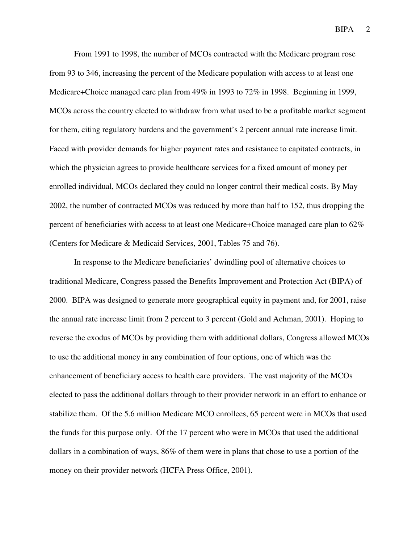From 1991 to 1998, the number of MCOs contracted with the Medicare program rose from 93 to 346, increasing the percent of the Medicare population with access to at least one Medicare+Choice managed care plan from 49% in 1993 to 72% in 1998. Beginning in 1999, MCOs across the country elected to withdraw from what used to be a profitable market segment for them, citing regulatory burdens and the government's 2 percent annual rate increase limit. Faced with provider demands for higher payment rates and resistance to capitated contracts, in which the physician agrees to provide healthcare services for a fixed amount of money per enrolled individual, MCOs declared they could no longer control their medical costs. By May 2002, the number of contracted MCOs was reduced by more than half to 152, thus dropping the percent of beneficiaries with access to at least one Medicare+Choice managed care plan to 62% (Centers for Medicare & Medicaid Services, 2001, Tables 75 and 76).

In response to the Medicare beneficiaries' dwindling pool of alternative choices to traditional Medicare, Congress passed the Benefits Improvement and Protection Act (BIPA) of 2000. BIPA was designed to generate more geographical equity in payment and, for 2001, raise the annual rate increase limit from 2 percent to 3 percent (Gold and Achman, 2001). Hoping to reverse the exodus of MCOs by providing them with additional dollars, Congress allowed MCOs to use the additional money in any combination of four options, one of which was the enhancement of beneficiary access to health care providers. The vast majority of the MCOs elected to pass the additional dollars through to their provider network in an effort to enhance or stabilize them. Of the 5.6 million Medicare MCO enrollees, 65 percent were in MCOs that used the funds for this purpose only. Of the 17 percent who were in MCOs that used the additional dollars in a combination of ways, 86% of them were in plans that chose to use a portion of the money on their provider network (HCFA Press Office, 2001).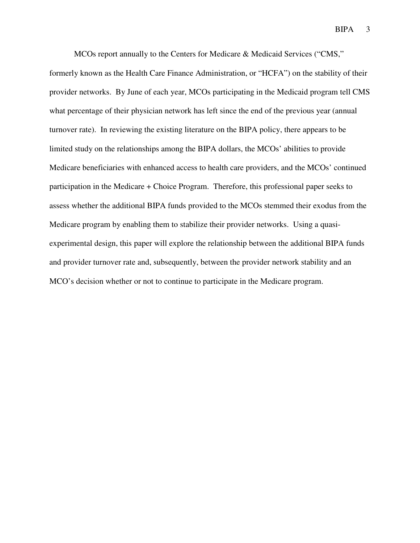MCOs report annually to the Centers for Medicare & Medicaid Services ("CMS,"

formerly known as the Health Care Finance Administration, or "HCFA") on the stability of their provider networks. By June of each year, MCOs participating in the Medicaid program tell CMS what percentage of their physician network has left since the end of the previous year (annual turnover rate). In reviewing the existing literature on the BIPA policy, there appears to be limited study on the relationships among the BIPA dollars, the MCOs' abilities to provide Medicare beneficiaries with enhanced access to health care providers, and the MCOs' continued participation in the Medicare + Choice Program. Therefore, this professional paper seeks to assess whether the additional BIPA funds provided to the MCOs stemmed their exodus from the Medicare program by enabling them to stabilize their provider networks. Using a quasiexperimental design, this paper will explore the relationship between the additional BIPA funds and provider turnover rate and, subsequently, between the provider network stability and an MCO's decision whether or not to continue to participate in the Medicare program.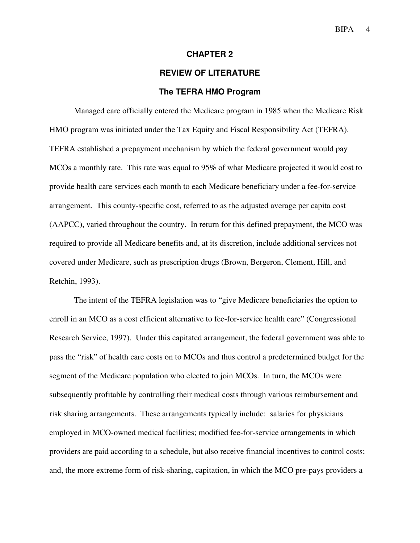#### **CHAPTER 2**

# **REVIEW OF LITERATURE**

#### **The TEFRA HMO Program**

Managed care officially entered the Medicare program in 1985 when the Medicare Risk HMO program was initiated under the Tax Equity and Fiscal Responsibility Act (TEFRA). TEFRA established a prepayment mechanism by which the federal government would pay MCOs a monthly rate. This rate was equal to 95% of what Medicare projected it would cost to provide health care services each month to each Medicare beneficiary under a fee-for-service arrangement. This county-specific cost, referred to as the adjusted average per capita cost (AAPCC), varied throughout the country. In return for this defined prepayment, the MCO was required to provide all Medicare benefits and, at its discretion, include additional services not covered under Medicare, such as prescription drugs (Brown, Bergeron, Clement, Hill, and Retchin, 1993).

The intent of the TEFRA legislation was to "give Medicare beneficiaries the option to enroll in an MCO as a cost efficient alternative to fee-for-service health care" (Congressional Research Service, 1997). Under this capitated arrangement, the federal government was able to pass the "risk" of health care costs on to MCOs and thus control a predetermined budget for the segment of the Medicare population who elected to join MCOs. In turn, the MCOs were subsequently profitable by controlling their medical costs through various reimbursement and risk sharing arrangements. These arrangements typically include: salaries for physicians employed in MCO-owned medical facilities; modified fee-for-service arrangements in which providers are paid according to a schedule, but also receive financial incentives to control costs; and, the more extreme form of risk-sharing, capitation, in which the MCO pre-pays providers a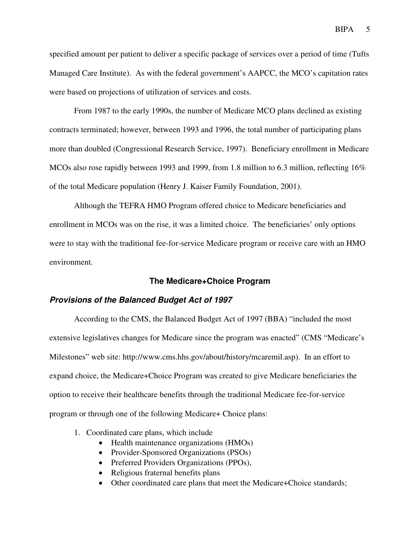specified amount per patient to deliver a specific package of services over a period of time (Tufts Managed Care Institute). As with the federal government's AAPCC, the MCO's capitation rates were based on projections of utilization of services and costs.

From 1987 to the early 1990s, the number of Medicare MCO plans declined as existing contracts terminated; however, between 1993 and 1996, the total number of participating plans more than doubled (Congressional Research Service, 1997). Beneficiary enrollment in Medicare MCOs also rose rapidly between 1993 and 1999, from 1.8 million to 6.3 million, reflecting 16% of the total Medicare population (Henry J. Kaiser Family Foundation, 2001).

Although the TEFRA HMO Program offered choice to Medicare beneficiaries and enrollment in MCOs was on the rise, it was a limited choice. The beneficiaries' only options were to stay with the traditional fee-for-service Medicare program or receive care with an HMO environment.

#### **The Medicare+Choice Program**

#### **Provisions of the Balanced Budget Act of 1997**

According to the CMS, the Balanced Budget Act of 1997 (BBA) "included the most extensive legislatives changes for Medicare since the program was enacted" (CMS "Medicare's Milestones" web site: http://www.cms.hhs.gov/about/history/mcaremil.asp). In an effort to expand choice, the Medicare+Choice Program was created to give Medicare beneficiaries the option to receive their healthcare benefits through the traditional Medicare fee-for-service program or through one of the following Medicare+ Choice plans:

- 1. Coordinated care plans, which include
	- Health maintenance organizations (HMOs)
	- Provider-Sponsored Organizations (PSOs)
	- Preferred Providers Organizations (PPOs),
	- Religious fraternal benefits plans
	- Other coordinated care plans that meet the Medicare+Choice standards;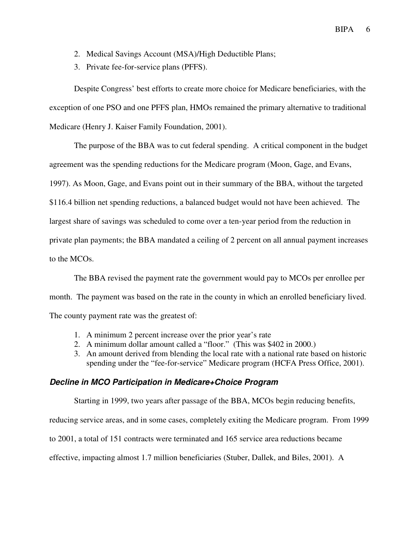- 2. Medical Savings Account (MSA)/High Deductible Plans;
- 3. Private fee-for-service plans (PFFS).

Despite Congress' best efforts to create more choice for Medicare beneficiaries, with the exception of one PSO and one PFFS plan, HMOs remained the primary alternative to traditional Medicare (Henry J. Kaiser Family Foundation, 2001).

The purpose of the BBA was to cut federal spending. A critical component in the budget agreement was the spending reductions for the Medicare program (Moon, Gage, and Evans, 1997). As Moon, Gage, and Evans point out in their summary of the BBA, without the targeted \$116.4 billion net spending reductions, a balanced budget would not have been achieved. The largest share of savings was scheduled to come over a ten-year period from the reduction in private plan payments; the BBA mandated a ceiling of 2 percent on all annual payment increases to the MCOs.

The BBA revised the payment rate the government would pay to MCOs per enrollee per month. The payment was based on the rate in the county in which an enrolled beneficiary lived. The county payment rate was the greatest of:

- 1. A minimum 2 percent increase over the prior year's rate
- 2. A minimum dollar amount called a "floor." (This was \$402 in 2000.)
- 3. An amount derived from blending the local rate with a national rate based on historic spending under the "fee-for-service" Medicare program (HCFA Press Office, 2001).

#### **Decline in MCO Participation in Medicare+Choice Program**

Starting in 1999, two years after passage of the BBA, MCOs begin reducing benefits,

reducing service areas, and in some cases, completely exiting the Medicare program. From 1999

to 2001, a total of 151 contracts were terminated and 165 service area reductions became

effective, impacting almost 1.7 million beneficiaries (Stuber, Dallek, and Biles, 2001). A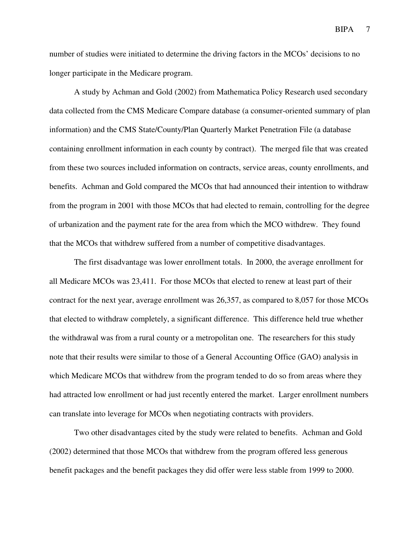number of studies were initiated to determine the driving factors in the MCOs' decisions to no longer participate in the Medicare program.

A study by Achman and Gold (2002) from Mathematica Policy Research used secondary data collected from the CMS Medicare Compare database (a consumer-oriented summary of plan information) and the CMS State/County/Plan Quarterly Market Penetration File (a database containing enrollment information in each county by contract). The merged file that was created from these two sources included information on contracts, service areas, county enrollments, and benefits. Achman and Gold compared the MCOs that had announced their intention to withdraw from the program in 2001 with those MCOs that had elected to remain, controlling for the degree of urbanization and the payment rate for the area from which the MCO withdrew. They found that the MCOs that withdrew suffered from a number of competitive disadvantages.

The first disadvantage was lower enrollment totals. In 2000, the average enrollment for all Medicare MCOs was 23,411. For those MCOs that elected to renew at least part of their contract for the next year, average enrollment was 26,357, as compared to 8,057 for those MCOs that elected to withdraw completely, a significant difference. This difference held true whether the withdrawal was from a rural county or a metropolitan one. The researchers for this study note that their results were similar to those of a General Accounting Office (GAO) analysis in which Medicare MCOs that withdrew from the program tended to do so from areas where they had attracted low enrollment or had just recently entered the market. Larger enrollment numbers can translate into leverage for MCOs when negotiating contracts with providers.

Two other disadvantages cited by the study were related to benefits. Achman and Gold (2002) determined that those MCOs that withdrew from the program offered less generous benefit packages and the benefit packages they did offer were less stable from 1999 to 2000.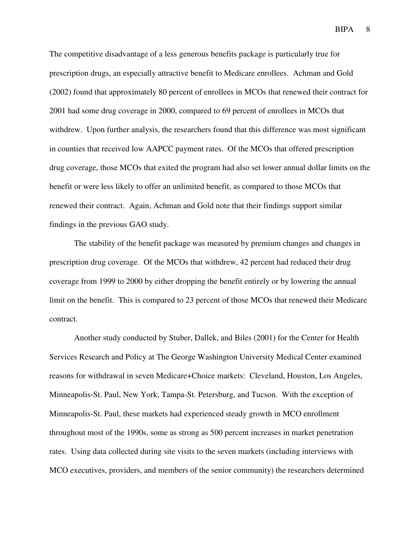The competitive disadvantage of a less generous benefits package is particularly true for prescription drugs, an especially attractive benefit to Medicare enrollees. Achman and Gold (2002) found that approximately 80 percent of enrollees in MCOs that renewed their contract for 2001 had some drug coverage in 2000, compared to 69 percent of enrollees in MCOs that withdrew. Upon further analysis, the researchers found that this difference was most significant in counties that received low AAPCC payment rates. Of the MCOs that offered prescription drug coverage, those MCOs that exited the program had also set lower annual dollar limits on the benefit or were less likely to offer an unlimited benefit, as compared to those MCOs that renewed their contract. Again, Achman and Gold note that their findings support similar findings in the previous GAO study.

The stability of the benefit package was measured by premium changes and changes in prescription drug coverage. Of the MCOs that withdrew, 42 percent had reduced their drug coverage from 1999 to 2000 by either dropping the benefit entirely or by lowering the annual limit on the benefit. This is compared to 23 percent of those MCOs that renewed their Medicare contract.

Another study conducted by Stuber, Dallek, and Biles (2001) for the Center for Health Services Research and Policy at The George Washington University Medical Center examined reasons for withdrawal in seven Medicare+Choice markets: Cleveland, Houston, Los Angeles, Minneapolis-St. Paul, New York, Tampa-St. Petersburg, and Tucson. With the exception of Minneapolis-St. Paul, these markets had experienced steady growth in MCO enrollment throughout most of the 1990s, some as strong as 500 percent increases in market penetration rates. Using data collected during site visits to the seven markets (including interviews with MCO executives, providers, and members of the senior community) the researchers determined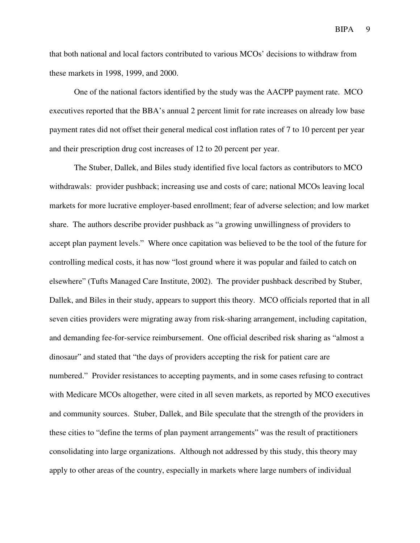that both national and local factors contributed to various MCOs' decisions to withdraw from these markets in 1998, 1999, and 2000.

One of the national factors identified by the study was the AACPP payment rate. MCO executives reported that the BBA's annual 2 percent limit for rate increases on already low base payment rates did not offset their general medical cost inflation rates of 7 to 10 percent per year and their prescription drug cost increases of 12 to 20 percent per year.

The Stuber, Dallek, and Biles study identified five local factors as contributors to MCO withdrawals: provider pushback; increasing use and costs of care; national MCOs leaving local markets for more lucrative employer-based enrollment; fear of adverse selection; and low market share. The authors describe provider pushback as "a growing unwillingness of providers to accept plan payment levels." Where once capitation was believed to be the tool of the future for controlling medical costs, it has now "lost ground where it was popular and failed to catch on elsewhere" (Tufts Managed Care Institute, 2002). The provider pushback described by Stuber, Dallek, and Biles in their study, appears to support this theory. MCO officials reported that in all seven cities providers were migrating away from risk-sharing arrangement, including capitation, and demanding fee-for-service reimbursement. One official described risk sharing as "almost a dinosaur" and stated that "the days of providers accepting the risk for patient care are numbered." Provider resistances to accepting payments, and in some cases refusing to contract with Medicare MCOs altogether, were cited in all seven markets, as reported by MCO executives and community sources. Stuber, Dallek, and Bile speculate that the strength of the providers in these cities to "define the terms of plan payment arrangements" was the result of practitioners consolidating into large organizations. Although not addressed by this study, this theory may apply to other areas of the country, especially in markets where large numbers of individual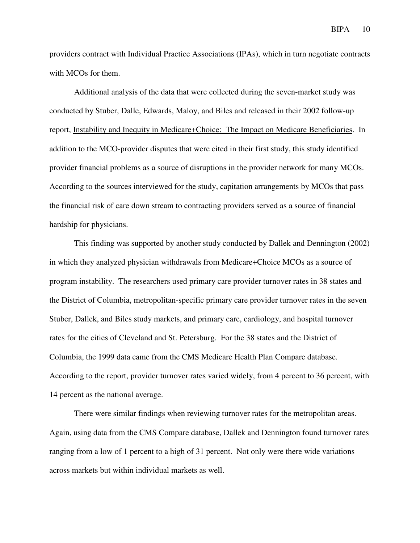providers contract with Individual Practice Associations (IPAs), which in turn negotiate contracts with MCOs for them.

Additional analysis of the data that were collected during the seven-market study was conducted by Stuber, Dalle, Edwards, Maloy, and Biles and released in their 2002 follow-up report, Instability and Inequity in Medicare+Choice: The Impact on Medicare Beneficiaries. In addition to the MCO-provider disputes that were cited in their first study, this study identified provider financial problems as a source of disruptions in the provider network for many MCOs. According to the sources interviewed for the study, capitation arrangements by MCOs that pass the financial risk of care down stream to contracting providers served as a source of financial hardship for physicians.

This finding was supported by another study conducted by Dallek and Dennington (2002) in which they analyzed physician withdrawals from Medicare+Choice MCOs as a source of program instability. The researchers used primary care provider turnover rates in 38 states and the District of Columbia, metropolitan-specific primary care provider turnover rates in the seven Stuber, Dallek, and Biles study markets, and primary care, cardiology, and hospital turnover rates for the cities of Cleveland and St. Petersburg. For the 38 states and the District of Columbia, the 1999 data came from the CMS Medicare Health Plan Compare database. According to the report, provider turnover rates varied widely, from 4 percent to 36 percent, with 14 percent as the national average.

There were similar findings when reviewing turnover rates for the metropolitan areas. Again, using data from the CMS Compare database, Dallek and Dennington found turnover rates ranging from a low of 1 percent to a high of 31 percent. Not only were there wide variations across markets but within individual markets as well.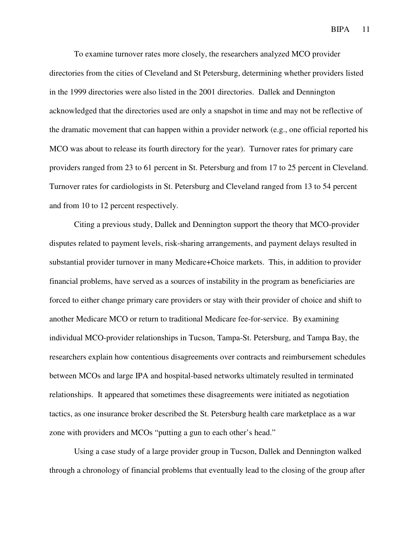To examine turnover rates more closely, the researchers analyzed MCO provider directories from the cities of Cleveland and St Petersburg, determining whether providers listed in the 1999 directories were also listed in the 2001 directories. Dallek and Dennington acknowledged that the directories used are only a snapshot in time and may not be reflective of the dramatic movement that can happen within a provider network (e.g., one official reported his MCO was about to release its fourth directory for the year). Turnover rates for primary care providers ranged from 23 to 61 percent in St. Petersburg and from 17 to 25 percent in Cleveland. Turnover rates for cardiologists in St. Petersburg and Cleveland ranged from 13 to 54 percent and from 10 to 12 percent respectively.

Citing a previous study, Dallek and Dennington support the theory that MCO-provider disputes related to payment levels, risk-sharing arrangements, and payment delays resulted in substantial provider turnover in many Medicare+Choice markets. This, in addition to provider financial problems, have served as a sources of instability in the program as beneficiaries are forced to either change primary care providers or stay with their provider of choice and shift to another Medicare MCO or return to traditional Medicare fee-for-service. By examining individual MCO-provider relationships in Tucson, Tampa-St. Petersburg, and Tampa Bay, the researchers explain how contentious disagreements over contracts and reimbursement schedules between MCOs and large IPA and hospital-based networks ultimately resulted in terminated relationships. It appeared that sometimes these disagreements were initiated as negotiation tactics, as one insurance broker described the St. Petersburg health care marketplace as a war zone with providers and MCOs "putting a gun to each other's head."

Using a case study of a large provider group in Tucson, Dallek and Dennington walked through a chronology of financial problems that eventually lead to the closing of the group after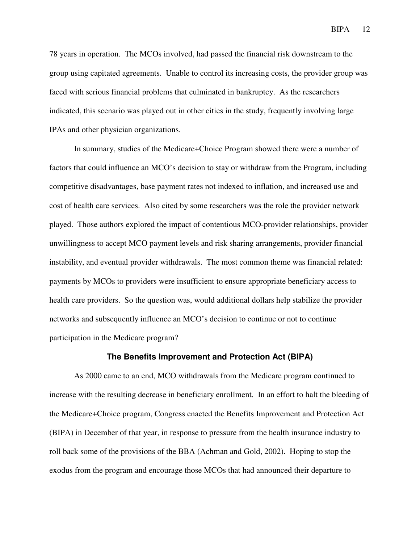78 years in operation. The MCOs involved, had passed the financial risk downstream to the group using capitated agreements. Unable to control its increasing costs, the provider group was faced with serious financial problems that culminated in bankruptcy. As the researchers indicated, this scenario was played out in other cities in the study, frequently involving large IPAs and other physician organizations.

In summary, studies of the Medicare+Choice Program showed there were a number of factors that could influence an MCO's decision to stay or withdraw from the Program, including competitive disadvantages, base payment rates not indexed to inflation, and increased use and cost of health care services. Also cited by some researchers was the role the provider network played. Those authors explored the impact of contentious MCO-provider relationships, provider unwillingness to accept MCO payment levels and risk sharing arrangements, provider financial instability, and eventual provider withdrawals. The most common theme was financial related: payments by MCOs to providers were insufficient to ensure appropriate beneficiary access to health care providers. So the question was, would additional dollars help stabilize the provider networks and subsequently influence an MCO's decision to continue or not to continue participation in the Medicare program?

#### **The Benefits Improvement and Protection Act (BIPA)**

As 2000 came to an end, MCO withdrawals from the Medicare program continued to increase with the resulting decrease in beneficiary enrollment. In an effort to halt the bleeding of the Medicare+Choice program, Congress enacted the Benefits Improvement and Protection Act (BIPA) in December of that year, in response to pressure from the health insurance industry to roll back some of the provisions of the BBA (Achman and Gold, 2002). Hoping to stop the exodus from the program and encourage those MCOs that had announced their departure to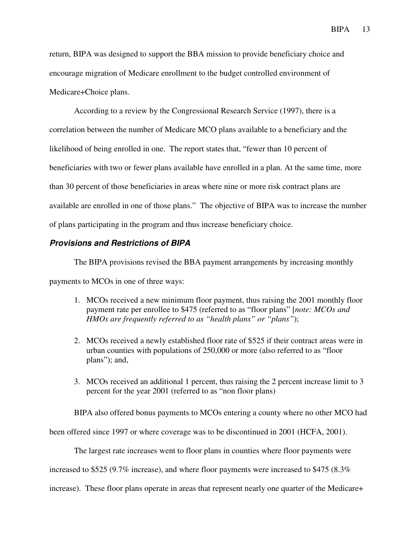return, BIPA was designed to support the BBA mission to provide beneficiary choice and encourage migration of Medicare enrollment to the budget controlled environment of Medicare+Choice plans.

According to a review by the Congressional Research Service (1997), there is a correlation between the number of Medicare MCO plans available to a beneficiary and the likelihood of being enrolled in one. The report states that, "fewer than 10 percent of beneficiaries with two or fewer plans available have enrolled in a plan. At the same time, more than 30 percent of those beneficiaries in areas where nine or more risk contract plans are available are enrolled in one of those plans." The objective of BIPA was to increase the number of plans participating in the program and thus increase beneficiary choice.

#### **Provisions and Restrictions of BIPA**

The BIPA provisions revised the BBA payment arrangements by increasing monthly payments to MCOs in one of three ways:

- 1. MCOs received a new minimum floor payment, thus raising the 2001 monthly floor payment rate per enrollee to \$475 (referred to as "floor plans" [*note: MCOs and HMOs are frequently referred to as "health plans" or "plans"*);
- 2. MCOs received a newly established floor rate of \$525 if their contract areas were in urban counties with populations of 250,000 or more (also referred to as "floor plans"); and,
- 3. MCOs received an additional 1 percent, thus raising the 2 percent increase limit to 3 percent for the year 2001 (referred to as "non floor plans)

BIPA also offered bonus payments to MCOs entering a county where no other MCO had been offered since 1997 or where coverage was to be discontinued in 2001 (HCFA, 2001).

The largest rate increases went to floor plans in counties where floor payments were

increased to \$525 (9.7% increase), and where floor payments were increased to \$475 (8.3%

increase). These floor plans operate in areas that represent nearly one quarter of the Medicare+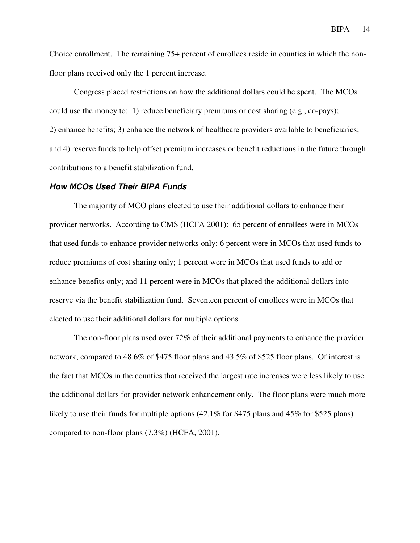Choice enrollment. The remaining 75+ percent of enrollees reside in counties in which the nonfloor plans received only the 1 percent increase.

Congress placed restrictions on how the additional dollars could be spent. The MCOs could use the money to: 1) reduce beneficiary premiums or cost sharing (e.g., co-pays); 2) enhance benefits; 3) enhance the network of healthcare providers available to beneficiaries; and 4) reserve funds to help offset premium increases or benefit reductions in the future through contributions to a benefit stabilization fund.

#### **How MCOs Used Their BIPA Funds**

The majority of MCO plans elected to use their additional dollars to enhance their provider networks. According to CMS (HCFA 2001): 65 percent of enrollees were in MCOs that used funds to enhance provider networks only; 6 percent were in MCOs that used funds to reduce premiums of cost sharing only; 1 percent were in MCOs that used funds to add or enhance benefits only; and 11 percent were in MCOs that placed the additional dollars into reserve via the benefit stabilization fund. Seventeen percent of enrollees were in MCOs that elected to use their additional dollars for multiple options.

The non-floor plans used over 72% of their additional payments to enhance the provider network, compared to 48.6% of \$475 floor plans and 43.5% of \$525 floor plans. Of interest is the fact that MCOs in the counties that received the largest rate increases were less likely to use the additional dollars for provider network enhancement only. The floor plans were much more likely to use their funds for multiple options (42.1% for \$475 plans and 45% for \$525 plans) compared to non-floor plans (7.3%) (HCFA, 2001).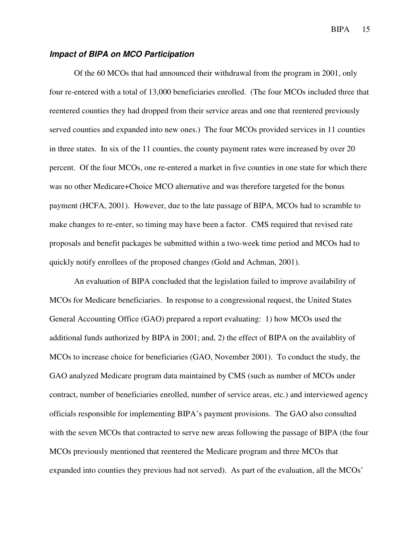#### **Impact of BIPA on MCO Participation**

Of the 60 MCOs that had announced their withdrawal from the program in 2001, only four re-entered with a total of 13,000 beneficiaries enrolled. (The four MCOs included three that reentered counties they had dropped from their service areas and one that reentered previously served counties and expanded into new ones.) The four MCOs provided services in 11 counties in three states. In six of the 11 counties, the county payment rates were increased by over 20 percent. Of the four MCOs, one re-entered a market in five counties in one state for which there was no other Medicare+Choice MCO alternative and was therefore targeted for the bonus payment (HCFA, 2001). However, due to the late passage of BIPA, MCOs had to scramble to make changes to re-enter, so timing may have been a factor. CMS required that revised rate proposals and benefit packages be submitted within a two-week time period and MCOs had to quickly notify enrollees of the proposed changes (Gold and Achman, 2001).

An evaluation of BIPA concluded that the legislation failed to improve availability of MCOs for Medicare beneficiaries. In response to a congressional request, the United States General Accounting Office (GAO) prepared a report evaluating: 1) how MCOs used the additional funds authorized by BIPA in 2001; and, 2) the effect of BIPA on the availablity of MCOs to increase choice for beneficiaries (GAO, November 2001). To conduct the study, the GAO analyzed Medicare program data maintained by CMS (such as number of MCOs under contract, number of beneficiaries enrolled, number of service areas, etc.) and interviewed agency officials responsible for implementing BIPA's payment provisions. The GAO also consulted with the seven MCOs that contracted to serve new areas following the passage of BIPA (the four MCOs previously mentioned that reentered the Medicare program and three MCOs that expanded into counties they previous had not served). As part of the evaluation, all the MCOs'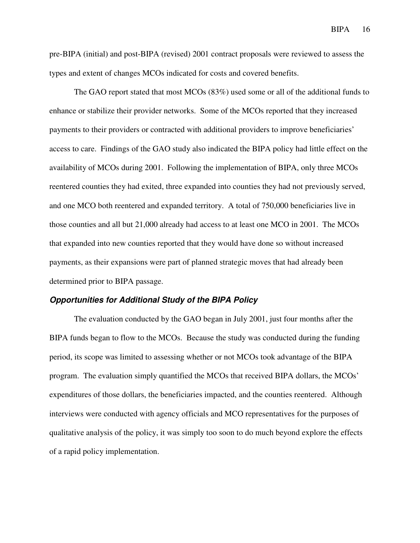pre-BIPA (initial) and post-BIPA (revised) 2001 contract proposals were reviewed to assess the types and extent of changes MCOs indicated for costs and covered benefits.

The GAO report stated that most MCOs (83%) used some or all of the additional funds to enhance or stabilize their provider networks. Some of the MCOs reported that they increased payments to their providers or contracted with additional providers to improve beneficiaries' access to care. Findings of the GAO study also indicated the BIPA policy had little effect on the availability of MCOs during 2001. Following the implementation of BIPA, only three MCOs reentered counties they had exited, three expanded into counties they had not previously served, and one MCO both reentered and expanded territory. A total of 750,000 beneficiaries live in those counties and all but 21,000 already had access to at least one MCO in 2001. The MCOs that expanded into new counties reported that they would have done so without increased payments, as their expansions were part of planned strategic moves that had already been determined prior to BIPA passage.

#### **Opportunities for Additional Study of the BIPA Policy**

The evaluation conducted by the GAO began in July 2001, just four months after the BIPA funds began to flow to the MCOs. Because the study was conducted during the funding period, its scope was limited to assessing whether or not MCOs took advantage of the BIPA program. The evaluation simply quantified the MCOs that received BIPA dollars, the MCOs' expenditures of those dollars, the beneficiaries impacted, and the counties reentered. Although interviews were conducted with agency officials and MCO representatives for the purposes of qualitative analysis of the policy, it was simply too soon to do much beyond explore the effects of a rapid policy implementation.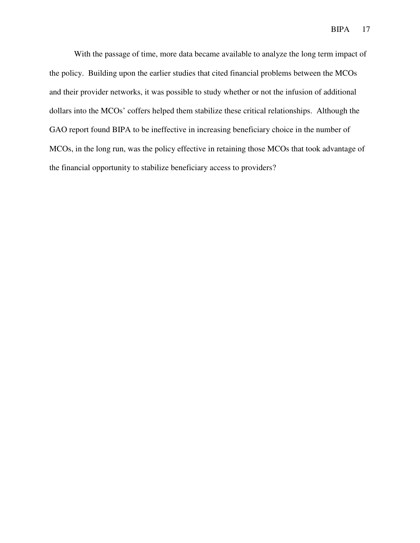With the passage of time, more data became available to analyze the long term impact of the policy. Building upon the earlier studies that cited financial problems between the MCOs and their provider networks, it was possible to study whether or not the infusion of additional dollars into the MCOs' coffers helped them stabilize these critical relationships. Although the GAO report found BIPA to be ineffective in increasing beneficiary choice in the number of MCOs, in the long run, was the policy effective in retaining those MCOs that took advantage of the financial opportunity to stabilize beneficiary access to providers?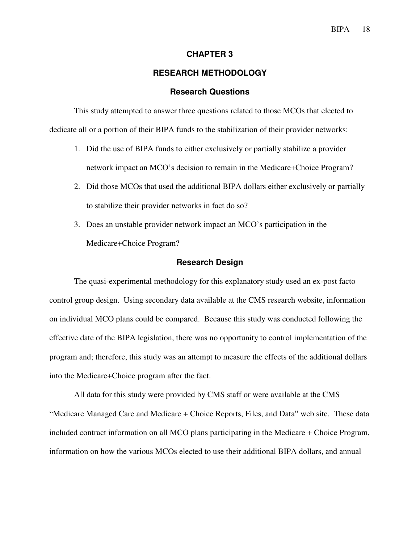#### **CHAPTER 3**

#### **RESEARCH METHODOLOGY**

#### **Research Questions**

This study attempted to answer three questions related to those MCOs that elected to dedicate all or a portion of their BIPA funds to the stabilization of their provider networks:

- 1. Did the use of BIPA funds to either exclusively or partially stabilize a provider network impact an MCO's decision to remain in the Medicare+Choice Program?
- 2. Did those MCOs that used the additional BIPA dollars either exclusively or partially to stabilize their provider networks in fact do so?
- 3. Does an unstable provider network impact an MCO's participation in the Medicare+Choice Program?

#### **Research Design**

The quasi-experimental methodology for this explanatory study used an ex-post facto control group design. Using secondary data available at the CMS research website, information on individual MCO plans could be compared. Because this study was conducted following the effective date of the BIPA legislation, there was no opportunity to control implementation of the program and; therefore, this study was an attempt to measure the effects of the additional dollars into the Medicare+Choice program after the fact.

All data for this study were provided by CMS staff or were available at the CMS "Medicare Managed Care and Medicare + Choice Reports, Files, and Data" web site. These data included contract information on all MCO plans participating in the Medicare + Choice Program, information on how the various MCOs elected to use their additional BIPA dollars, and annual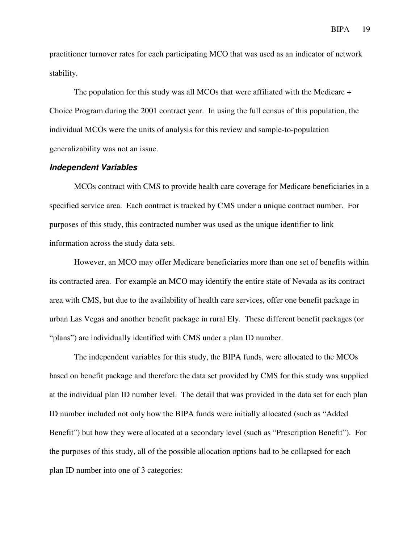practitioner turnover rates for each participating MCO that was used as an indicator of network stability.

The population for this study was all MCOs that were affiliated with the Medicare  $+$ Choice Program during the 2001 contract year. In using the full census of this population, the individual MCOs were the units of analysis for this review and sample-to-population generalizability was not an issue.

#### **Independent Variables**

MCOs contract with CMS to provide health care coverage for Medicare beneficiaries in a specified service area. Each contract is tracked by CMS under a unique contract number. For purposes of this study, this contracted number was used as the unique identifier to link information across the study data sets.

However, an MCO may offer Medicare beneficiaries more than one set of benefits within its contracted area. For example an MCO may identify the entire state of Nevada as its contract area with CMS, but due to the availability of health care services, offer one benefit package in urban Las Vegas and another benefit package in rural Ely. These different benefit packages (or "plans") are individually identified with CMS under a plan ID number.

The independent variables for this study, the BIPA funds, were allocated to the MCOs based on benefit package and therefore the data set provided by CMS for this study was supplied at the individual plan ID number level. The detail that was provided in the data set for each plan ID number included not only how the BIPA funds were initially allocated (such as "Added Benefit") but how they were allocated at a secondary level (such as "Prescription Benefit"). For the purposes of this study, all of the possible allocation options had to be collapsed for each plan ID number into one of 3 categories: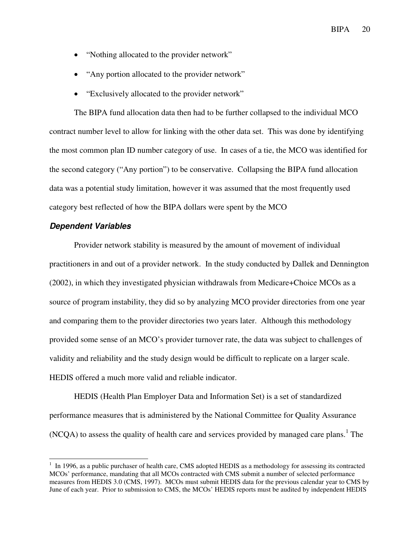- "Nothing allocated to the provider network"
- "Any portion allocated to the provider network"
- "Exclusively allocated to the provider network"

The BIPA fund allocation data then had to be further collapsed to the individual MCO contract number level to allow for linking with the other data set. This was done by identifying the most common plan ID number category of use. In cases of a tie, the MCO was identified for the second category ("Any portion") to be conservative. Collapsing the BIPA fund allocation data was a potential study limitation, however it was assumed that the most frequently used category best reflected of how the BIPA dollars were spent by the MCO

#### **Dependent Variables**

Provider network stability is measured by the amount of movement of individual practitioners in and out of a provider network. In the study conducted by Dallek and Dennington (2002), in which they investigated physician withdrawals from Medicare+Choice MCOs as a source of program instability, they did so by analyzing MCO provider directories from one year and comparing them to the provider directories two years later. Although this methodology provided some sense of an MCO's provider turnover rate, the data was subject to challenges of validity and reliability and the study design would be difficult to replicate on a larger scale. HEDIS offered a much more valid and reliable indicator.

HEDIS (Health Plan Employer Data and Information Set) is a set of standardized performance measures that is administered by the National Committee for Quality Assurance  $(NCQA)$  to assess the quality of health care and services provided by managed care plans.<sup>1</sup> The

<sup>&</sup>lt;sup>1</sup> In 1996, as a public purchaser of health care, CMS adopted HEDIS as a methodology for assessing its contracted MCOs' performance, mandating that all MCOs contracted with CMS submit a number of selected performance measures from HEDIS 3.0 (CMS, 1997). MCOs must submit HEDIS data for the previous calendar year to CMS by June of each year. Prior to submission to CMS, the MCOs' HEDIS reports must be audited by independent HEDIS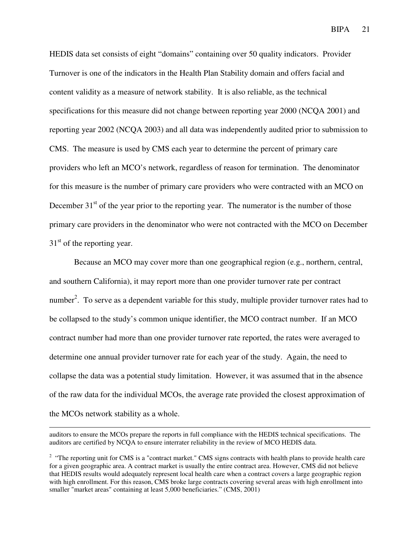HEDIS data set consists of eight "domains" containing over 50 quality indicators. Provider Turnover is one of the indicators in the Health Plan Stability domain and offers facial and content validity as a measure of network stability. It is also reliable, as the technical specifications for this measure did not change between reporting year 2000 (NCQA 2001) and reporting year 2002 (NCQA 2003) and all data was independently audited prior to submission to CMS. The measure is used by CMS each year to determine the percent of primary care providers who left an MCO's network, regardless of reason for termination. The denominator for this measure is the number of primary care providers who were contracted with an MCO on December  $31<sup>st</sup>$  of the year prior to the reporting year. The numerator is the number of those primary care providers in the denominator who were not contracted with the MCO on December  $31<sup>st</sup>$  of the reporting year.

Because an MCO may cover more than one geographical region (e.g., northern, central, and southern California), it may report more than one provider turnover rate per contract number<sup>2</sup>. To serve as a dependent variable for this study, multiple provider turnover rates had to be collapsed to the study's common unique identifier, the MCO contract number. If an MCO contract number had more than one provider turnover rate reported, the rates were averaged to determine one annual provider turnover rate for each year of the study. Again, the need to collapse the data was a potential study limitation. However, it was assumed that in the absence of the raw data for the individual MCOs, the average rate provided the closest approximation of the MCOs network stability as a whole.

-

auditors to ensure the MCOs prepare the reports in full compliance with the HEDIS technical specifications. The auditors are certified by NCQA to ensure interrater reliability in the review of MCO HEDIS data.

<sup>&</sup>lt;sup>2</sup> "The reporting unit for CMS is a "contract market." CMS signs contracts with health plans to provide health care for a given geographic area. A contract market is usually the entire contract area. However, CMS did not believe that HEDIS results would adequately represent local health care when a contract covers a large geographic region with high enrollment. For this reason, CMS broke large contracts covering several areas with high enrollment into smaller "market areas" containing at least 5,000 beneficiaries." (CMS, 2001)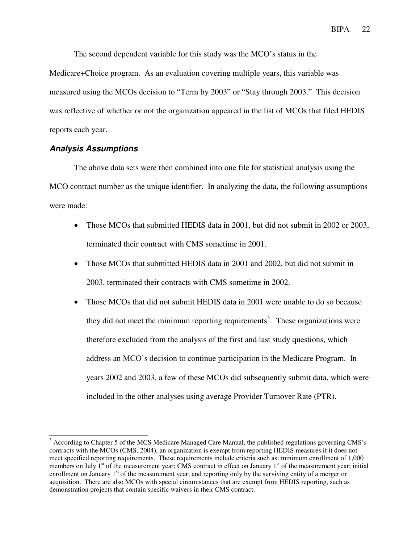The second dependent variable for this study was the MCO's status in the

Medicare+Choice program. As an evaluation covering multiple years, this variable was measured using the MCOs decision to "Term by 2003" or "Stay through 2003." This decision was reflective of whether or not the organization appeared in the list of MCOs that filed HEDIS reports each year.

#### **Analysis Assumptions**

 $\overline{a}$ 

The above data sets were then combined into one file for statistical analysis using the MCO contract number as the unique identifier. In analyzing the data, the following assumptions were made:

- Those MCOs that submitted HEDIS data in 2001, but did not submit in 2002 or 2003, terminated their contract with CMS sometime in 2001.
- Those MCOs that submitted HEDIS data in 2001 and 2002, but did not submit in 2003, terminated their contracts with CMS sometime in 2002.
- Those MCOs that did not submit HEDIS data in 2001 were unable to do so because they did not meet the minimum reporting requirements<sup>3</sup>. These organizations were therefore excluded from the analysis of the first and last study questions, which address an MCO's decision to continue participation in the Medicare Program. In years 2002 and 2003, a few of these MCOs did subsequently submit data, which were included in the other analyses using average Provider Turnover Rate (PTR).

<sup>&</sup>lt;sup>3</sup> According to Chapter 5 of the MCS Medicare Managed Care Manual, the published regulations governing CMS's contracts with the MCOs (CMS, 2004), an organization is exempt from reporting HEDIS measures if it does not meet specified reporting requirements. These requirements include criteria such as: minimum enrollment of 1,000 members on July  $1<sup>st</sup>$  of the measurement year; CMS contract in effect on January  $1<sup>st</sup>$  of the measurement year; initial enrollment on January  $1<sup>st</sup>$  of the measurement year; and reporting only by the surviving entity of a merger or acquisition. There are also MCOs with special circumstances that are exempt from HEDIS reporting, such as demonstration projects that contain specific waivers in their CMS contract.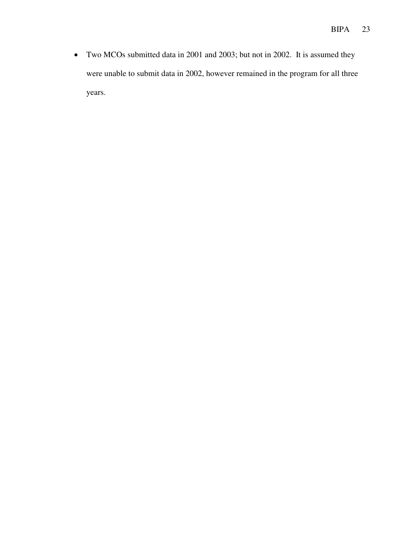• Two MCOs submitted data in 2001 and 2003; but not in 2002. It is assumed they were unable to submit data in 2002, however remained in the program for all three years.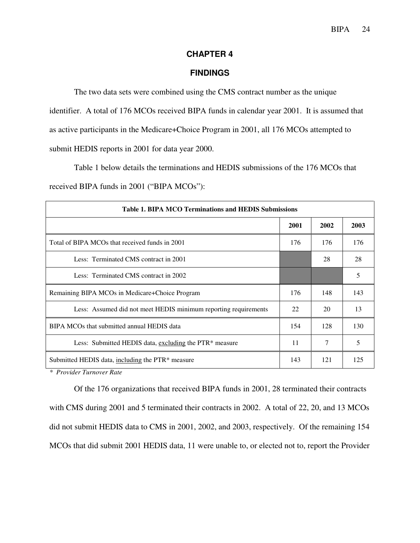#### **CHAPTER 4**

#### **FINDINGS**

The two data sets were combined using the CMS contract number as the unique identifier. A total of 176 MCOs received BIPA funds in calendar year 2001. It is assumed that as active participants in the Medicare+Choice Program in 2001, all 176 MCOs attempted to submit HEDIS reports in 2001 for data year 2000.

Table 1 below details the terminations and HEDIS submissions of the 176 MCOs that received BIPA funds in 2001 ("BIPA MCOs"):

| Table 1. BIPA MCO Terminations and HEDIS Submissions            |      |      |      |  |
|-----------------------------------------------------------------|------|------|------|--|
|                                                                 | 2001 | 2002 | 2003 |  |
| Total of BIPA MCOs that received funds in 2001                  | 176  | 176  | 176  |  |
| Less: Terminated CMS contract in 2001                           |      | 28   | 28   |  |
| Less: Terminated CMS contract in 2002                           |      |      | 5    |  |
| Remaining BIPA MCOs in Medicare+Choice Program                  | 176  | 148  | 143  |  |
| Less: Assumed did not meet HEDIS minimum reporting requirements | 22   | 20   | 13   |  |
| BIPA MCOs that submitted annual HEDIS data                      |      | 128  | 130  |  |
| Less: Submitted HEDIS data, excluding the PTR* measure          | 11   | 7    | 5    |  |
| Submitted HEDIS data, including the PTR* measure                |      | 121  | 125  |  |

*\* Provider Turnover Rate* 

Of the 176 organizations that received BIPA funds in 2001, 28 terminated their contracts with CMS during 2001 and 5 terminated their contracts in 2002. A total of 22, 20, and 13 MCOs did not submit HEDIS data to CMS in 2001, 2002, and 2003, respectively. Of the remaining 154 MCOs that did submit 2001 HEDIS data, 11 were unable to, or elected not to, report the Provider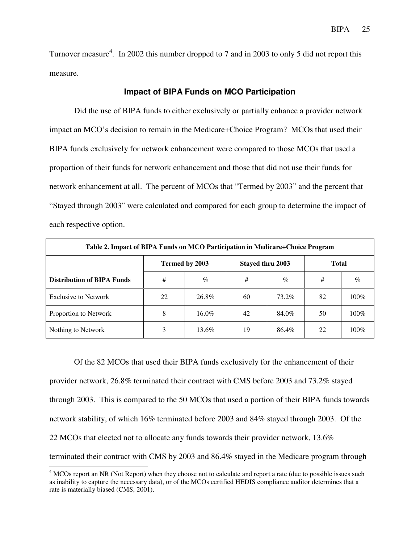Turnover measure<sup>4</sup>. In 2002 this number dropped to 7 and in 2003 to only 5 did not report this measure.

#### **Impact of BIPA Funds on MCO Participation**

Did the use of BIPA funds to either exclusively or partially enhance a provider network impact an MCO's decision to remain in the Medicare+Choice Program? MCOs that used their BIPA funds exclusively for network enhancement were compared to those MCOs that used a proportion of their funds for network enhancement and those that did not use their funds for network enhancement at all. The percent of MCOs that "Termed by 2003" and the percent that "Stayed through 2003" were calculated and compared for each group to determine the impact of each respective option.

| Table 2. Impact of BIPA Funds on MCO Participation in Medicare+Choice Program |                |       |                         |       |              |         |
|-------------------------------------------------------------------------------|----------------|-------|-------------------------|-------|--------------|---------|
|                                                                               | Termed by 2003 |       | <b>Stayed thru 2003</b> |       | <b>Total</b> |         |
| <b>Distribution of BIPA Funds</b>                                             | #              | $\%$  | #                       | $\%$  | #            | $\%$    |
| Exclusive to Network                                                          | 22             | 26.8% | 60                      | 73.2% | 82           | $100\%$ |
| Proportion to Network                                                         | 8              | 16.0% | 42                      | 84.0% | 50           | $100\%$ |
| Nothing to Network                                                            | 3              | 13.6% | 19                      | 86.4% | 22           | $100\%$ |

Of the 82 MCOs that used their BIPA funds exclusively for the enhancement of their provider network, 26.8% terminated their contract with CMS before 2003 and 73.2% stayed through 2003. This is compared to the 50 MCOs that used a portion of their BIPA funds towards network stability, of which 16% terminated before 2003 and 84% stayed through 2003. Of the 22 MCOs that elected not to allocate any funds towards their provider network, 13.6% terminated their contract with CMS by 2003 and 86.4% stayed in the Medicare program through

 $\overline{a}$ 

<sup>&</sup>lt;sup>4</sup> MCOs report an NR (Not Report) when they choose not to calculate and report a rate (due to possible issues such as inability to capture the necessary data), or of the MCOs certified HEDIS compliance auditor determines that a rate is materially biased (CMS, 2001).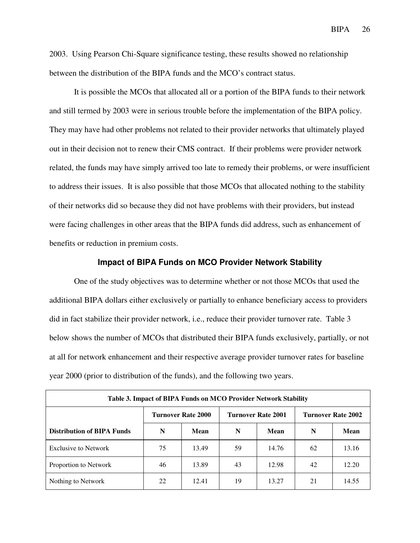2003. Using Pearson Chi-Square significance testing, these results showed no relationship between the distribution of the BIPA funds and the MCO's contract status.

It is possible the MCOs that allocated all or a portion of the BIPA funds to their network and still termed by 2003 were in serious trouble before the implementation of the BIPA policy. They may have had other problems not related to their provider networks that ultimately played out in their decision not to renew their CMS contract. If their problems were provider network related, the funds may have simply arrived too late to remedy their problems, or were insufficient to address their issues. It is also possible that those MCOs that allocated nothing to the stability of their networks did so because they did not have problems with their providers, but instead were facing challenges in other areas that the BIPA funds did address, such as enhancement of benefits or reduction in premium costs.

#### **Impact of BIPA Funds on MCO Provider Network Stability**

One of the study objectives was to determine whether or not those MCOs that used the additional BIPA dollars either exclusively or partially to enhance beneficiary access to providers did in fact stabilize their provider network, i.e., reduce their provider turnover rate. Table 3 below shows the number of MCOs that distributed their BIPA funds exclusively, partially, or not at all for network enhancement and their respective average provider turnover rates for baseline year 2000 (prior to distribution of the funds), and the following two years.

| Table 3. Impact of BIPA Funds on MCO Provider Network Stability |                           |       |                           |       |                           |       |
|-----------------------------------------------------------------|---------------------------|-------|---------------------------|-------|---------------------------|-------|
|                                                                 | <b>Turnover Rate 2000</b> |       | <b>Turnover Rate 2001</b> |       | <b>Turnover Rate 2002</b> |       |
| <b>Distribution of BIPA Funds</b>                               | N                         | Mean  | N                         | Mean  | N                         | Mean  |
| <b>Exclusive to Network</b>                                     | 75                        | 13.49 | 59                        | 14.76 | 62                        | 13.16 |
| Proportion to Network                                           | 46                        | 13.89 | 43                        | 12.98 | 42                        | 12.20 |
| Nothing to Network                                              | 22                        | 12.41 | 19                        | 13.27 | 21                        | 14.55 |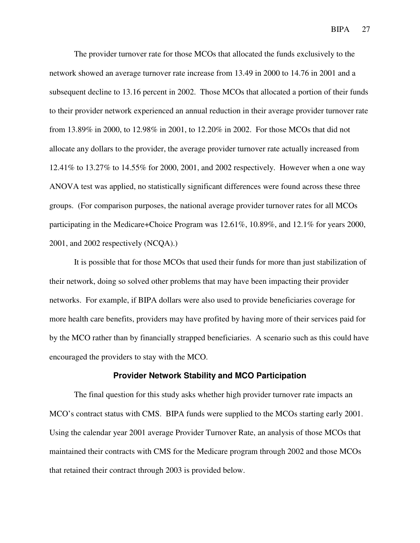The provider turnover rate for those MCOs that allocated the funds exclusively to the network showed an average turnover rate increase from 13.49 in 2000 to 14.76 in 2001 and a subsequent decline to 13.16 percent in 2002. Those MCOs that allocated a portion of their funds to their provider network experienced an annual reduction in their average provider turnover rate from 13.89% in 2000, to 12.98% in 2001, to 12.20% in 2002. For those MCOs that did not allocate any dollars to the provider, the average provider turnover rate actually increased from 12.41% to 13.27% to 14.55% for 2000, 2001, and 2002 respectively. However when a one way ANOVA test was applied, no statistically significant differences were found across these three groups. (For comparison purposes, the national average provider turnover rates for all MCOs participating in the Medicare+Choice Program was 12.61%, 10.89%, and 12.1% for years 2000, 2001, and 2002 respectively (NCQA).)

It is possible that for those MCOs that used their funds for more than just stabilization of their network, doing so solved other problems that may have been impacting their provider networks. For example, if BIPA dollars were also used to provide beneficiaries coverage for more health care benefits, providers may have profited by having more of their services paid for by the MCO rather than by financially strapped beneficiaries. A scenario such as this could have encouraged the providers to stay with the MCO.

#### **Provider Network Stability and MCO Participation**

The final question for this study asks whether high provider turnover rate impacts an MCO's contract status with CMS. BIPA funds were supplied to the MCOs starting early 2001. Using the calendar year 2001 average Provider Turnover Rate, an analysis of those MCOs that maintained their contracts with CMS for the Medicare program through 2002 and those MCOs that retained their contract through 2003 is provided below.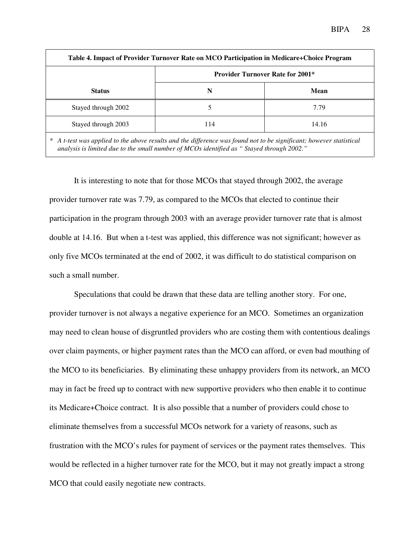| Table 4. Impact of Provider Turnover Rate on MCO Participation in Medicare+Choice Program |                                         |       |  |  |
|-------------------------------------------------------------------------------------------|-----------------------------------------|-------|--|--|
|                                                                                           | <b>Provider Turnover Rate for 2001*</b> |       |  |  |
| <b>Status</b>                                                                             | N                                       | Mean  |  |  |
| Stayed through 2002                                                                       |                                         | 7.79  |  |  |
| Stayed through 2003                                                                       | 14                                      | 14.16 |  |  |

*\* A t-test was applied to the above results and the difference was found not to be significant; however statistical analysis is limited due to the small number of MCOs identified as " Stayed through 2002."* 

It is interesting to note that for those MCOs that stayed through 2002, the average provider turnover rate was 7.79, as compared to the MCOs that elected to continue their participation in the program through 2003 with an average provider turnover rate that is almost double at 14.16. But when a t-test was applied, this difference was not significant; however as only five MCOs terminated at the end of 2002, it was difficult to do statistical comparison on such a small number.

Speculations that could be drawn that these data are telling another story. For one, provider turnover is not always a negative experience for an MCO. Sometimes an organization may need to clean house of disgruntled providers who are costing them with contentious dealings over claim payments, or higher payment rates than the MCO can afford, or even bad mouthing of the MCO to its beneficiaries. By eliminating these unhappy providers from its network, an MCO may in fact be freed up to contract with new supportive providers who then enable it to continue its Medicare+Choice contract. It is also possible that a number of providers could chose to eliminate themselves from a successful MCOs network for a variety of reasons, such as frustration with the MCO's rules for payment of services or the payment rates themselves. This would be reflected in a higher turnover rate for the MCO, but it may not greatly impact a strong MCO that could easily negotiate new contracts.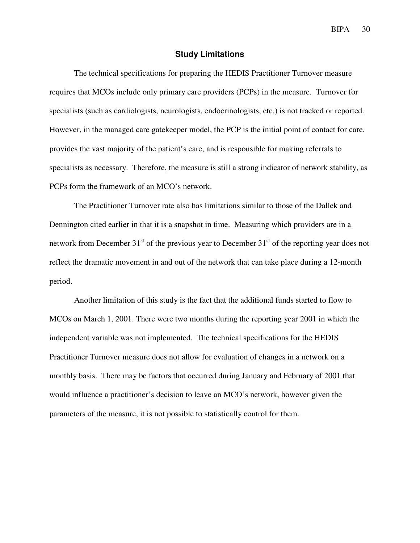#### **Study Limitations**

The technical specifications for preparing the HEDIS Practitioner Turnover measure requires that MCOs include only primary care providers (PCPs) in the measure. Turnover for specialists (such as cardiologists, neurologists, endocrinologists, etc.) is not tracked or reported. However, in the managed care gatekeeper model, the PCP is the initial point of contact for care, provides the vast majority of the patient's care, and is responsible for making referrals to specialists as necessary. Therefore, the measure is still a strong indicator of network stability, as PCPs form the framework of an MCO's network.

The Practitioner Turnover rate also has limitations similar to those of the Dallek and Dennington cited earlier in that it is a snapshot in time. Measuring which providers are in a network from December  $31<sup>st</sup>$  of the previous year to December  $31<sup>st</sup>$  of the reporting year does not reflect the dramatic movement in and out of the network that can take place during a 12-month period.

Another limitation of this study is the fact that the additional funds started to flow to MCOs on March 1, 2001. There were two months during the reporting year 2001 in which the independent variable was not implemented. The technical specifications for the HEDIS Practitioner Turnover measure does not allow for evaluation of changes in a network on a monthly basis. There may be factors that occurred during January and February of 2001 that would influence a practitioner's decision to leave an MCO's network, however given the parameters of the measure, it is not possible to statistically control for them.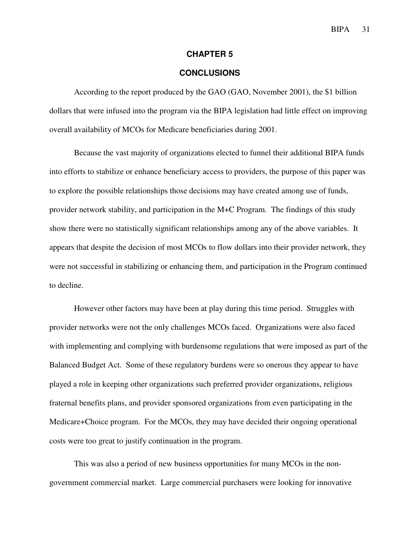#### **CHAPTER 5**

#### **CONCLUSIONS**

According to the report produced by the GAO (GAO, November 2001), the \$1 billion dollars that were infused into the program via the BIPA legislation had little effect on improving overall availability of MCOs for Medicare beneficiaries during 2001.

Because the vast majority of organizations elected to funnel their additional BIPA funds into efforts to stabilize or enhance beneficiary access to providers, the purpose of this paper was to explore the possible relationships those decisions may have created among use of funds, provider network stability, and participation in the M+C Program. The findings of this study show there were no statistically significant relationships among any of the above variables. It appears that despite the decision of most MCOs to flow dollars into their provider network, they were not successful in stabilizing or enhancing them, and participation in the Program continued to decline.

However other factors may have been at play during this time period. Struggles with provider networks were not the only challenges MCOs faced. Organizations were also faced with implementing and complying with burdensome regulations that were imposed as part of the Balanced Budget Act. Some of these regulatory burdens were so onerous they appear to have played a role in keeping other organizations such preferred provider organizations, religious fraternal benefits plans, and provider sponsored organizations from even participating in the Medicare+Choice program. For the MCOs, they may have decided their ongoing operational costs were too great to justify continuation in the program.

This was also a period of new business opportunities for many MCOs in the nongovernment commercial market. Large commercial purchasers were looking for innovative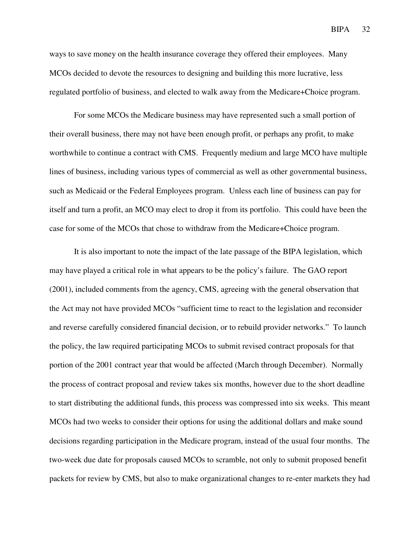ways to save money on the health insurance coverage they offered their employees. Many MCOs decided to devote the resources to designing and building this more lucrative, less regulated portfolio of business, and elected to walk away from the Medicare+Choice program.

For some MCOs the Medicare business may have represented such a small portion of their overall business, there may not have been enough profit, or perhaps any profit, to make worthwhile to continue a contract with CMS. Frequently medium and large MCO have multiple lines of business, including various types of commercial as well as other governmental business, such as Medicaid or the Federal Employees program. Unless each line of business can pay for itself and turn a profit, an MCO may elect to drop it from its portfolio. This could have been the case for some of the MCOs that chose to withdraw from the Medicare+Choice program.

It is also important to note the impact of the late passage of the BIPA legislation, which may have played a critical role in what appears to be the policy's failure. The GAO report (2001), included comments from the agency, CMS, agreeing with the general observation that the Act may not have provided MCOs "sufficient time to react to the legislation and reconsider and reverse carefully considered financial decision, or to rebuild provider networks." To launch the policy, the law required participating MCOs to submit revised contract proposals for that portion of the 2001 contract year that would be affected (March through December). Normally the process of contract proposal and review takes six months, however due to the short deadline to start distributing the additional funds, this process was compressed into six weeks. This meant MCOs had two weeks to consider their options for using the additional dollars and make sound decisions regarding participation in the Medicare program, instead of the usual four months. The two-week due date for proposals caused MCOs to scramble, not only to submit proposed benefit packets for review by CMS, but also to make organizational changes to re-enter markets they had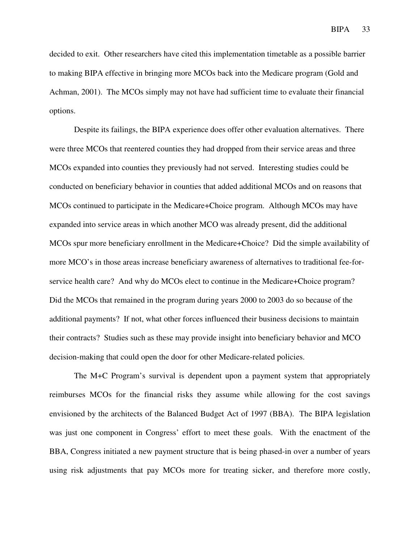decided to exit. Other researchers have cited this implementation timetable as a possible barrier to making BIPA effective in bringing more MCOs back into the Medicare program (Gold and Achman, 2001). The MCOs simply may not have had sufficient time to evaluate their financial options.

Despite its failings, the BIPA experience does offer other evaluation alternatives. There were three MCOs that reentered counties they had dropped from their service areas and three MCOs expanded into counties they previously had not served. Interesting studies could be conducted on beneficiary behavior in counties that added additional MCOs and on reasons that MCOs continued to participate in the Medicare+Choice program. Although MCOs may have expanded into service areas in which another MCO was already present, did the additional MCOs spur more beneficiary enrollment in the Medicare+Choice? Did the simple availability of more MCO's in those areas increase beneficiary awareness of alternatives to traditional fee-forservice health care? And why do MCOs elect to continue in the Medicare+Choice program? Did the MCOs that remained in the program during years 2000 to 2003 do so because of the additional payments? If not, what other forces influenced their business decisions to maintain their contracts? Studies such as these may provide insight into beneficiary behavior and MCO decision-making that could open the door for other Medicare-related policies.

The M+C Program's survival is dependent upon a payment system that appropriately reimburses MCOs for the financial risks they assume while allowing for the cost savings envisioned by the architects of the Balanced Budget Act of 1997 (BBA). The BIPA legislation was just one component in Congress' effort to meet these goals. With the enactment of the BBA, Congress initiated a new payment structure that is being phased-in over a number of years using risk adjustments that pay MCOs more for treating sicker, and therefore more costly,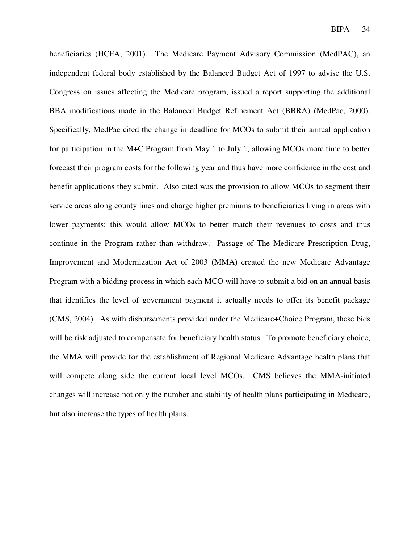beneficiaries (HCFA, 2001). The Medicare Payment Advisory Commission (MedPAC), an independent federal body established by the Balanced Budget Act of 1997 to advise the U.S. Congress on issues affecting the Medicare program, issued a report supporting the additional BBA modifications made in the Balanced Budget Refinement Act (BBRA) (MedPac, 2000). Specifically, MedPac cited the change in deadline for MCOs to submit their annual application for participation in the M+C Program from May 1 to July 1, allowing MCOs more time to better forecast their program costs for the following year and thus have more confidence in the cost and benefit applications they submit. Also cited was the provision to allow MCOs to segment their service areas along county lines and charge higher premiums to beneficiaries living in areas with lower payments; this would allow MCOs to better match their revenues to costs and thus continue in the Program rather than withdraw. Passage of The Medicare Prescription Drug, Improvement and Modernization Act of 2003 (MMA) created the new Medicare Advantage Program with a bidding process in which each MCO will have to submit a bid on an annual basis that identifies the level of government payment it actually needs to offer its benefit package (CMS, 2004). As with disbursements provided under the Medicare+Choice Program, these bids will be risk adjusted to compensate for beneficiary health status. To promote beneficiary choice, the MMA will provide for the establishment of Regional Medicare Advantage health plans that will compete along side the current local level MCOs. CMS believes the MMA-initiated changes will increase not only the number and stability of health plans participating in Medicare, but also increase the types of health plans.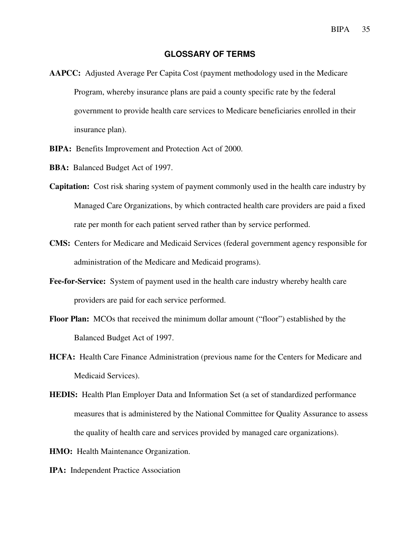#### **GLOSSARY OF TERMS**

- **AAPCC:** Adjusted Average Per Capita Cost (payment methodology used in the Medicare Program, whereby insurance plans are paid a county specific rate by the federal government to provide health care services to Medicare beneficiaries enrolled in their insurance plan).
- **BIPA:** Benefits Improvement and Protection Act of 2000.
- **BBA:** Balanced Budget Act of 1997.
- **Capitation:** Cost risk sharing system of payment commonly used in the health care industry by Managed Care Organizations, by which contracted health care providers are paid a fixed rate per month for each patient served rather than by service performed.
- **CMS:** Centers for Medicare and Medicaid Services (federal government agency responsible for administration of the Medicare and Medicaid programs).
- **Fee-for-Service:** System of payment used in the health care industry whereby health care providers are paid for each service performed.
- **Floor Plan:** MCOs that received the minimum dollar amount ("floor") established by the Balanced Budget Act of 1997.
- **HCFA:** Health Care Finance Administration (previous name for the Centers for Medicare and Medicaid Services).
- **HEDIS:** Health Plan Employer Data and Information Set (a set of standardized performance measures that is administered by the National Committee for Quality Assurance to assess the quality of health care and services provided by managed care organizations).
- **HMO:** Health Maintenance Organization.
- **IPA:** Independent Practice Association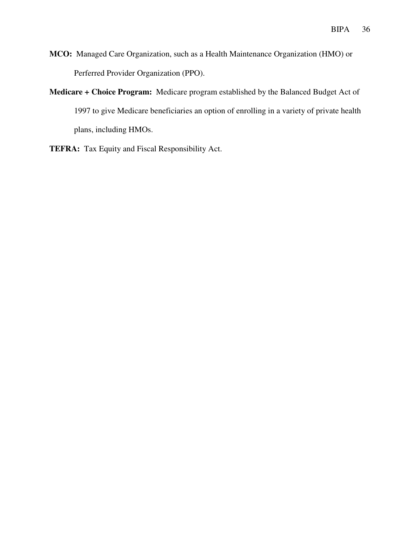- **MCO:** Managed Care Organization, such as a Health Maintenance Organization (HMO) or Perferred Provider Organization (PPO).
- **Medicare + Choice Program:** Medicare program established by the Balanced Budget Act of 1997 to give Medicare beneficiaries an option of enrolling in a variety of private health plans, including HMOs.
- **TEFRA:** Tax Equity and Fiscal Responsibility Act.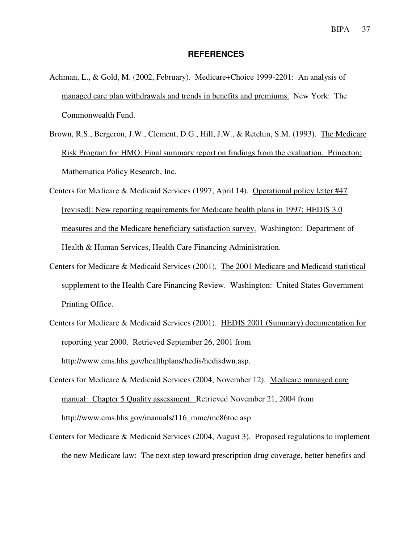#### **REFERENCES**

- Achman, L., & Gold, M. (2002, February). Medicare+Choice 1999-2201: An analysis of managed care plan withdrawals and trends in benefits and premiums. New York: The Commonwealth Fund.
- Brown, R.S., Bergeron, J.W., Clement, D.G., Hill, J.W., & Retchin, S.M. (1993). The Medicare Risk Program for HMO: Final summary report on findings from the evaluation. Princeton: Mathematica Policy Research, Inc.
- Centers for Medicare & Medicaid Services (1997, April 14). Operational policy letter #47 [revised]: New reporting requirements for Medicare health plans in 1997: HEDIS 3.0 measures and the Medicare beneficiary satisfaction survey. Washington: Department of Health & Human Services, Health Care Financing Administration.
- Centers for Medicare & Medicaid Services (2001). The 2001 Medicare and Medicaid statistical supplement to the Health Care Financing Review. Washington: United States Government Printing Office.
- Centers for Medicare & Medicaid Services (2001). HEDIS 2001 (Summary) documentation for reporting year 2000. Retrieved September 26, 2001 from http://www.cms.hhs.gov/healthplans/hedis/hedisdwn.asp.
- Centers for Medicare & Medicaid Services (2004, November 12). Medicare managed care manual: Chapter 5 Quality assessment. Retrieved November 21, 2004 from http://www.cms.hhs.gov/manuals/116\_mmc/mc86toc.asp
- Centers for Medicare & Medicaid Services (2004, August 3). Proposed regulations to implement the new Medicare law: The next step toward prescription drug coverage, better benefits and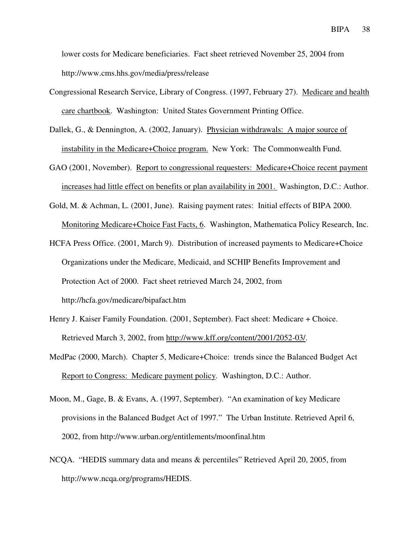lower costs for Medicare beneficiaries. Fact sheet retrieved November 25, 2004 from http://www.cms.hhs.gov/media/press/release

- Congressional Research Service, Library of Congress. (1997, February 27). Medicare and health care chartbook. Washington: United States Government Printing Office.
- Dallek, G., & Dennington, A. (2002, January). Physician withdrawals: A major source of instability in the Medicare+Choice program. New York: The Commonwealth Fund.
- GAO (2001, November). Report to congressional requesters: Medicare+Choice recent payment increases had little effect on benefits or plan availability in 2001. Washington, D.C.: Author.
- Gold, M. & Achman, L. (2001, June). Raising payment rates: Initial effects of BIPA 2000. Monitoring Medicare+Choice Fast Facts, 6. Washington, Mathematica Policy Research, Inc.
- HCFA Press Office. (2001, March 9). Distribution of increased payments to Medicare+Choice Organizations under the Medicare, Medicaid, and SCHIP Benefits Improvement and Protection Act of 2000. Fact sheet retrieved March 24, 2002, from http://hcfa.gov/medicare/bipafact.htm
- Henry J. Kaiser Family Foundation. (2001, September). Fact sheet: Medicare + Choice. Retrieved March 3, 2002, from http://www.kff.org/content/2001/2052-03/.
- MedPac (2000, March). Chapter 5, Medicare+Choice: trends since the Balanced Budget Act Report to Congress: Medicare payment policy. Washington, D.C.: Author.
- Moon, M., Gage, B. & Evans, A. (1997, September). "An examination of key Medicare provisions in the Balanced Budget Act of 1997." The Urban Institute. Retrieved April 6, 2002, from http://www.urban.org/entitlements/moonfinal.htm
- NCQA. "HEDIS summary data and means & percentiles" Retrieved April 20, 2005, from http://www.ncqa.org/programs/HEDIS.